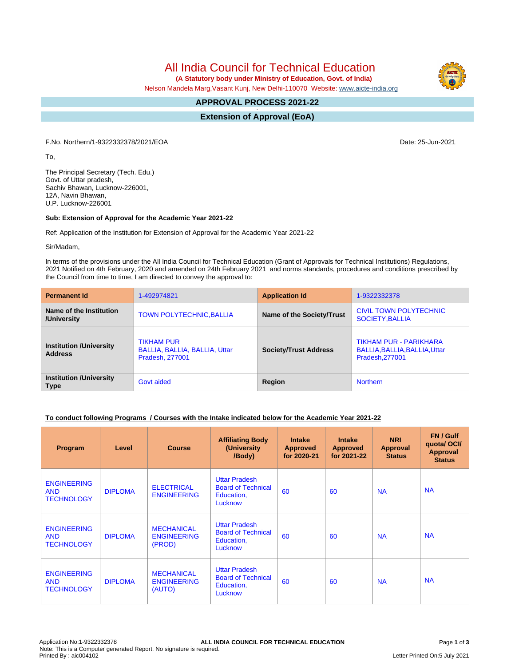All India Council for Technical Education

 **(A Statutory body under Ministry of Education, Govt. of India)**

Nelson Mandela Marg,Vasant Kunj, New Delhi-110070 Website: [www.aicte-india.org](http://www.aicte-india.org)

#### **APPROVAL PROCESS 2021-22 -**

**Extension of Approval (EoA)**

F.No. Northern/1-9322332378/2021/EOA Date: 25-Jun-2021

To,

The Principal Secretary (Tech. Edu.) Govt. of Uttar pradesh, Sachiv Bhawan, Lucknow-226001, 12A, Navin Bhawan, U.P. Lucknow-226001

## **Sub: Extension of Approval for the Academic Year 2021-22**

Ref: Application of the Institution for Extension of Approval for the Academic Year 2021-22

Sir/Madam,

In terms of the provisions under the All India Council for Technical Education (Grant of Approvals for Technical Institutions) Regulations, 2021 Notified on 4th February, 2020 and amended on 24th February 2021 and norms standards, procedures and conditions prescribed by the Council from time to time, I am directed to convey the approval to:

| <b>Permanent Id</b>                              | 1-492974821                                                                  | <b>Application Id</b>        | 1-9322332378                                                               |  |
|--------------------------------------------------|------------------------------------------------------------------------------|------------------------------|----------------------------------------------------------------------------|--|
| Name of the Institution<br>/University           | <b>TOWN POLYTECHNIC, BALLIA</b>                                              | Name of the Society/Trust    | CIVIL TOWN POLYTECHNIC<br>SOCIETY, BALLIA                                  |  |
| <b>Institution /University</b><br><b>Address</b> | <b>TIKHAM PUR</b><br>BALLIA, BALLIA, BALLIA, Uttar<br><b>Pradesh, 277001</b> | <b>Society/Trust Address</b> | TIKHAM PUR - PARIKHARA<br>BALLIA, BALLIA, BALLIA, Uttar<br>Pradesh, 277001 |  |
| <b>Institution /University</b><br><b>Type</b>    | Govt aided                                                                   | Region                       | <b>Northern</b>                                                            |  |

## **To conduct following Programs / Courses with the Intake indicated below for the Academic Year 2021-22**

| Program                                               | Level          | <b>Course</b>                                     | <b>Affiliating Body</b><br>(University<br>/Body)                           | <b>Intake</b><br><b>Approved</b><br>for 2020-21 | <b>Intake</b><br><b>Approved</b><br>for 2021-22 | <b>NRI</b><br>Approval<br><b>Status</b> | FN / Gulf<br>quota/OCI/<br><b>Approval</b><br><b>Status</b> |
|-------------------------------------------------------|----------------|---------------------------------------------------|----------------------------------------------------------------------------|-------------------------------------------------|-------------------------------------------------|-----------------------------------------|-------------------------------------------------------------|
| <b>ENGINEERING</b><br><b>AND</b><br><b>TECHNOLOGY</b> | <b>DIPLOMA</b> | <b>ELECTRICAL</b><br><b>ENGINEERING</b>           | <b>Uttar Pradesh</b><br><b>Board of Technical</b><br>Education,<br>Lucknow | 60                                              | 60                                              | <b>NA</b>                               | <b>NA</b>                                                   |
| <b>ENGINEERING</b><br><b>AND</b><br><b>TECHNOLOGY</b> | <b>DIPLOMA</b> | <b>MECHANICAL</b><br><b>ENGINEERING</b><br>(PROD) | <b>Uttar Pradesh</b><br><b>Board of Technical</b><br>Education,<br>Lucknow | 60                                              | 60                                              | <b>NA</b>                               | <b>NA</b>                                                   |
| <b>ENGINEERING</b><br><b>AND</b><br><b>TECHNOLOGY</b> | <b>DIPLOMA</b> | <b>MECHANICAL</b><br><b>ENGINEERING</b><br>(AUTO) | <b>Uttar Pradesh</b><br><b>Board of Technical</b><br>Education,<br>Lucknow | 60                                              | 60                                              | <b>NA</b>                               | <b>NA</b>                                                   |

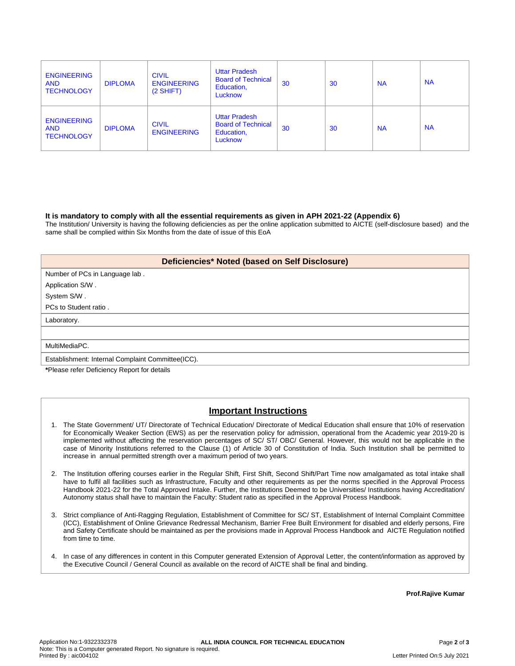| <b>ENGINEERING</b><br><b>AND</b><br><b>TECHNOLOGY</b> | <b>DIPLOMA</b> | <b>CIVIL</b><br><b>ENGINEERING</b><br>$(2$ SHIFT) | <b>Uttar Pradesh</b><br><b>Board of Technical</b><br>Education,<br>Lucknow | 30 | 30 | <b>NA</b> | <b>NA</b> |
|-------------------------------------------------------|----------------|---------------------------------------------------|----------------------------------------------------------------------------|----|----|-----------|-----------|
| <b>ENGINEERING</b><br><b>AND</b><br><b>TECHNOLOGY</b> | <b>DIPLOMA</b> | <b>CIVIL</b><br><b>ENGINEERING</b>                | <b>Uttar Pradesh</b><br><b>Board of Technical</b><br>Education,<br>Lucknow | 30 | 30 | <b>NA</b> | <b>NA</b> |

#### **It is mandatory to comply with all the essential requirements as given in APH 2021-22 (Appendix 6)**

The Institution/ University is having the following deficiencies as per the online application submitted to AICTE (self-disclosure based) and the same shall be complied within Six Months from the date of issue of this EoA

## **Deficiencies\* Noted (based on Self Disclosure)**

| Number of PCs in Language lab. |
|--------------------------------|
| Application S/W.               |

System S/W .

PCs to Student ratio .

Laboratory.

#### MultiMediaPC.

Establishment: Internal Complaint Committee(ICC).

**\***Please refer Deficiency Report for details

# **Important Instructions**

- 1. The State Government/ UT/ Directorate of Technical Education/ Directorate of Medical Education shall ensure that 10% of reservation for Economically Weaker Section (EWS) as per the reservation policy for admission, operational from the Academic year 2019-20 is implemented without affecting the reservation percentages of SC/ ST/ OBC/ General. However, this would not be applicable in the case of Minority Institutions referred to the Clause (1) of Article 30 of Constitution of India. Such Institution shall be permitted to increase in annual permitted strength over a maximum period of two years.
- 2. The Institution offering courses earlier in the Regular Shift, First Shift, Second Shift/Part Time now amalgamated as total intake shall have to fulfil all facilities such as Infrastructure, Faculty and other requirements as per the norms specified in the Approval Process Handbook 2021-22 for the Total Approved Intake. Further, the Institutions Deemed to be Universities/ Institutions having Accreditation/ Autonomy status shall have to maintain the Faculty: Student ratio as specified in the Approval Process Handbook.
- 3. Strict compliance of Anti-Ragging Regulation, Establishment of Committee for SC/ ST, Establishment of Internal Complaint Committee (ICC), Establishment of Online Grievance Redressal Mechanism, Barrier Free Built Environment for disabled and elderly persons, Fire and Safety Certificate should be maintained as per the provisions made in Approval Process Handbook and AICTE Regulation notified from time to time.
- 4. In case of any differences in content in this Computer generated Extension of Approval Letter, the content/information as approved by the Executive Council / General Council as available on the record of AICTE shall be final and binding.

**Prof.Rajive Kumar**